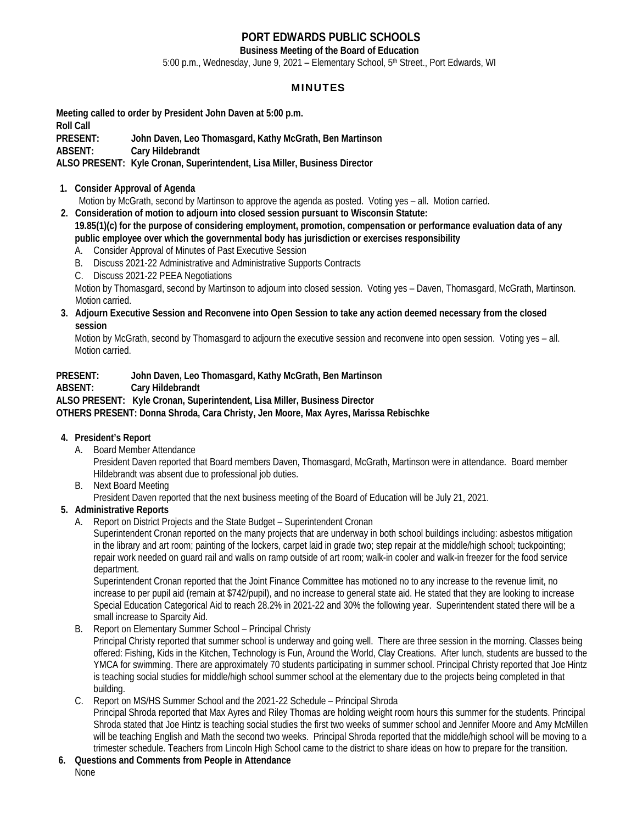# **PORT EDWARDS PUBLIC SCHOOLS**

**Business Meeting of the Board of Education**  5:00 p.m., Wednesday, June 9, 2021 – Elementary School, 5<sup>th</sup> Street., Port Edwards, WI

# MINUTES

**Meeting called to order by President John Daven at 5:00 p.m. Roll Call PRESENT: John Daven, Leo Thomasgard, Kathy McGrath, Ben Martinson ABSENT: Cary Hildebrandt ALSO PRESENT: Kyle Cronan, Superintendent, Lisa Miller, Business Director** 

#### **1. Consider Approval of Agenda**

Motion by McGrath, second by Martinson to approve the agenda as posted. Voting yes – all. Motion carried.

- **2. Consideration of motion to adjourn into closed session pursuant to Wisconsin Statute:**
- **19.85(1)(c) for the purpose of considering employment, promotion, compensation or performance evaluation data of any public employee over which the governmental body has jurisdiction or exercises responsibility** 
	- A. Consider Approval of Minutes of Past Executive Session
	- B. Discuss 2021-22 Administrative and Administrative Supports Contracts
	- C. Discuss 2021-22 PEEA Negotiations

 Motion by Thomasgard, second by Martinson to adjourn into closed session. Voting yes – Daven, Thomasgard, McGrath, Martinson. Motion carried.

 **3. Adjourn Executive Session and Reconvene into Open Session to take any action deemed necessary from the closed session** 

 Motion by McGrath, second by Thomasgard to adjourn the executive session and reconvene into open session. Voting yes – all. Motion carried.

#### **PRESENT: John Daven, Leo Thomasgard, Kathy McGrath, Ben Martinson**

#### **ABSENT: Cary Hildebrandt**

**ALSO PRESENT: Kyle Cronan, Superintendent, Lisa Miller, Business Director** 

**OTHERS PRESENT: Donna Shroda, Cara Christy, Jen Moore, Max Ayres, Marissa Rebischke** 

- **4. President's Report** 
	- A. Board Member Attendance

 President Daven reported that Board members Daven, Thomasgard, McGrath, Martinson were in attendance. Board member Hildebrandt was absent due to professional job duties.

B. Next Board Meeting

President Daven reported that the next business meeting of the Board of Education will be July 21, 2021.

- **5. Administrative Reports** 
	- A. Report on District Projects and the State Budget Superintendent Cronan

 Superintendent Cronan reported on the many projects that are underway in both school buildings including: asbestos mitigation in the library and art room; painting of the lockers, carpet laid in grade two; step repair at the middle/high school; tuckpointing; repair work needed on guard rail and walls on ramp outside of art room; walk-in cooler and walk-in freezer for the food service department.

 Superintendent Cronan reported that the Joint Finance Committee has motioned no to any increase to the revenue limit, no increase to per pupil aid (remain at \$742/pupil), and no increase to general state aid. He stated that they are looking to increase Special Education Categorical Aid to reach 28.2% in 2021-22 and 30% the following year. Superintendent stated there will be a small increase to Sparcity Aid.

B. Report on Elementary Summer School – Principal Christy

 Principal Christy reported that summer school is underway and going well. There are three session in the morning. Classes being offered: Fishing, Kids in the Kitchen, Technology is Fun, Around the World, Clay Creations. After lunch, students are bussed to the YMCA for swimming. There are approximately 70 students participating in summer school. Principal Christy reported that Joe Hintz is teaching social studies for middle/high school summer school at the elementary due to the projects being completed in that building.

#### C. Report on MS/HS Summer School and the 2021-22 Schedule – Principal Shroda Principal Shroda reported that Max Ayres and Riley Thomas are holding weight room hours this summer for the students. Principal

Shroda stated that Joe Hintz is teaching social studies the first two weeks of summer school and Jennifer Moore and Amy McMillen will be teaching English and Math the second two weeks. Principal Shroda reported that the middle/high school will be moving to a trimester schedule. Teachers from Lincoln High School came to the district to share ideas on how to prepare for the transition.

 **6. Questions and Comments from People in Attendance**  None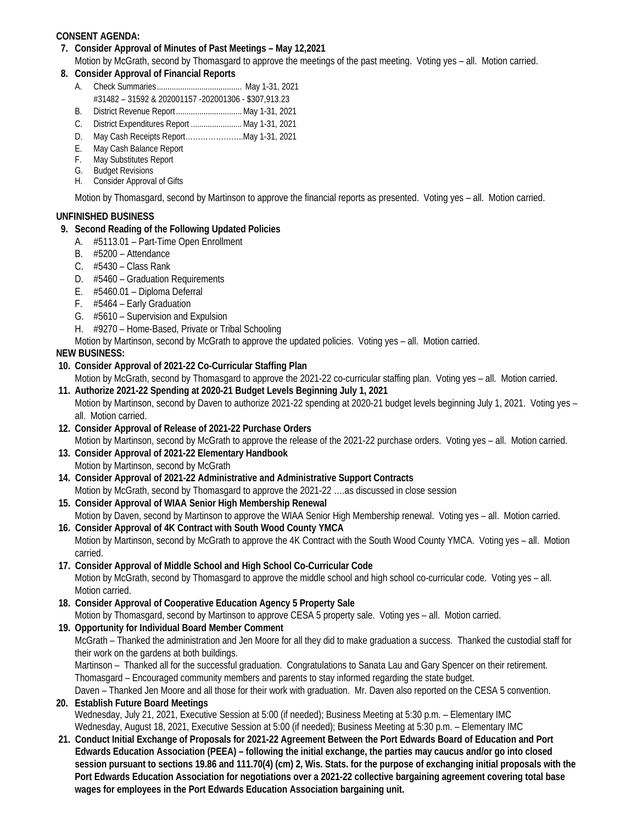# **CONSENT AGENDA:**

 **7. Consider Approval of Minutes of Past Meetings – May 12,2021** 

Motion by McGrath, second by Thomasgard to approve the meetings of the past meeting. Voting yes – all. Motion carried.

- **8. Consider Approval of Financial Reports** 
	- A. Check Summaries ........................................ May 1-31, 2021
	- #31482 31592 & 202001157 -202001306 \$307,913.23
	- B. District Revenue Report ............................... May 1-31, 2021
	- C. District Expenditures Report ........................ May 1-31, 2021
	- D. May Cash Receipts Report…………………..May 1-31, 2021
	- E. May Cash Balance Report
- F. May Substitutes Report G. Budget Revisions
	- H. Consider Approval of Gifts

Motion by Thomasgard, second by Martinson to approve the financial reports as presented. Voting yes – all. Motion carried.

## **UNFINISHED BUSINESS**

## **9. Second Reading of the Following Updated Policies**

- A. #5113.01 Part-Time Open Enrollment
- B. #5200 Attendance
- C. #5430 Class Rank
- D. #5460 Graduation Requirements
- E. #5460.01 Diploma Deferral
- F. #5464 Early Graduation
- G. #5610 Supervision and Expulsion
- H. #9270 Home-Based, Private or Tribal Schooling

Motion by Martinson, second by McGrath to approve the updated policies. Voting yes – all. Motion carried.

# **NEW BUSINESS:**

## **10. Consider Approval of 2021-22 Co-Curricular Staffing Plan**

 Motion by McGrath, second by Thomasgard to approve the 2021-22 co-curricular staffing plan. Voting yes – all. Motion carried.  **11. Authorize 2021-22 Spending at 2020-21 Budget Levels Beginning July 1, 2021** 

- Motion by Martinson, second by Daven to authorize 2021-22 spending at 2020-21 budget levels beginning July 1, 2021. Voting yes all. Motion carried.
- **12. Consider Approval of Release of 2021-22 Purchase Orders**  Motion by Martinson, second by McGrath to approve the release of the 2021-22 purchase orders. Voting yes – all. Motion carried.
- **13. Consider Approval of 2021-22 Elementary Handbook**  Motion by Martinson, second by McGrath
- **14. Consider Approval of 2021-22 Administrative and Administrative Support Contracts**  Motion by McGrath, second by Thomasgard to approve the 2021-22 ….as discussed in close session
- **15. Consider Approval of WIAA Senior High Membership Renewal**  Motion by Daven, second by Martinson to approve the WIAA Senior High Membership renewal. Voting yes – all. Motion carried.
- **16. Consider Approval of 4K Contract with South Wood County YMCA**  Motion by Martinson, second by McGrath to approve the 4K Contract with the South Wood County YMCA. Voting yes – all. Motion carried.
- **17. Consider Approval of Middle School and High School Co-Curricular Code**  Motion by McGrath, second by Thomasgard to approve the middle school and high school co-curricular code. Voting yes – all. Motion carried.
- **18. Consider Approval of Cooperative Education Agency 5 Property Sale**  Motion by Thomasgard, second by Martinson to approve CESA 5 property sale. Voting yes – all. Motion carried.
- **19. Opportunity for Individual Board Member Comment**

McGrath – Thanked the administration and Jen Moore for all they did to make graduation a success. Thanked the custodial staff for their work on the gardens at both buildings.

Martinson – Thanked all for the successful graduation. Congratulations to Sanata Lau and Gary Spencer on their retirement. Thomasgard – Encouraged community members and parents to stay informed regarding the state budget.

Daven – Thanked Jen Moore and all those for their work with graduation. Mr. Daven also reported on the CESA 5 convention.

# **20. Establish Future Board Meetings**

 Wednesday, July 21, 2021, Executive Session at 5:00 (if needed); Business Meeting at 5:30 p.m. – Elementary IMC Wednesday, August 18, 2021, Executive Session at 5:00 (if needed); Business Meeting at 5:30 p.m. – Elementary IMC

**21. Conduct Initial Exchange of Proposals for 2021-22 Agreement Between the Port Edwards Board of Education and Port Edwards Education Association (PEEA) – following the initial exchange, the parties may caucus and/or go into closed session pursuant to sections 19.86 and 111.70(4) (cm) 2, Wis. Stats. for the purpose of exchanging initial proposals with the Port Edwards Education Association for negotiations over a 2021-22 collective bargaining agreement covering total base wages for employees in the Port Edwards Education Association bargaining unit.**